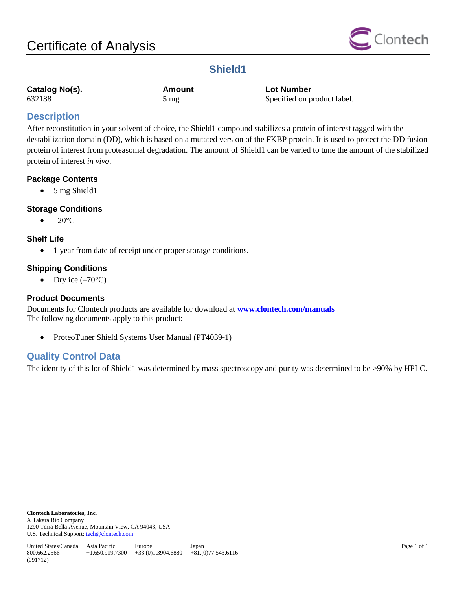

## **Shield1**

| Catalog No(s). |  |
|----------------|--|
| 632188         |  |

**Catalog No(s). Amount Lot Number** 632188 5 mg Specified on product label.

## **Description**

After reconstitution in your solvent of choice, the Shield1 compound stabilizes a protein of interest tagged with the destabilization domain (DD), which is based on a mutated version of the FKBP protein. It is used to protect the DD fusion protein of interest from proteasomal degradation. The amount of Shield1 can be varied to tune the amount of the stabilized protein of interest *in vivo*.

## **Package Contents**

• 5 mg Shield1

## **Storage Conditions**

 $\bullet$  –20 $\mathrm{^{\circ}C}$ 

### **Shelf Life**

1 year from date of receipt under proper storage conditions.

### **Shipping Conditions**

• Dry ice  $(-70^{\circ}C)$ 

## **Product Documents**

Documents for Clontech products are available for download at **[www.clontech.com/manuals](http://www.clontech.com/manuals)** The following documents apply to this product:

• ProteoTuner Shield Systems User Manual (PT4039-1)

## **Quality Control Data**

The identity of this lot of Shield1 was determined by mass spectroscopy and purity was determined to be >90% by HPLC.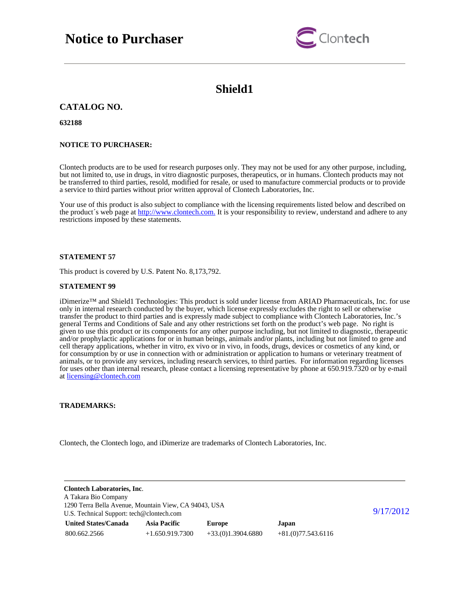# **Notice to Purchaser**



## **Shield1**

### **CATALOG NO.**

**632188**

### **NOTICE TO PURCHASER:**

Clontech products are to be used for research purposes only. They may not be used for any other purpose, including, but not limited to, use in drugs, in vitro diagnostic purposes, therapeutics, or in humans. Clontech products may not be transferred to third parties, resold, modified for resale, or used to manufacture commercial products or to provide a service to third parties without prior written approval of Clontech Laboratories, Inc.

Your use of this product is also subject to compliance with the licensing requirements listed below and described on the product's web page at [http://www.clontech.com.](http://www.clontech.com/) It is your responsibility to review, understand and adhere to any restrictions imposed by these statements.

### **STATEMENT 57**

This product is covered by U.S. Patent No. 8,173,792.

#### **STATEMENT 99**

iDimerize™ and Shield1 Technologies: This product is sold under license from ARIAD Pharmaceuticals, Inc. for use only in internal research conducted by the buyer, which license expressly excludes the right to sell or otherwise transfer the product to third parties and is expressly made subject to compliance with Clontech Laboratories, Inc.'s general Terms and Conditions of Sale and any other restrictions set forth on the product's web page. No right is given to use this product or its components for any other purpose including, but not limited to diagnostic, therapeutic and/or prophylactic applications for or in human beings, animals and/or plants, including but not limited to gene and cell therapy applications, whether in vitro, ex vivo or in vivo, in foods, drugs, devices or cosmetics of any kind, or for consumption by or use in connection with or administration or application to humans or veterinary treatment of animals, or to provide any services, including research services, to third parties. For information regarding licenses for uses other than internal research, please contact a licensing representative by phone at 650.919.7320 or by e-mail at [licensing@clontech.com](mailto:licensing@clontech.com)

### **TRADEMARKS:**

Clontech, the Clontech logo, and iDimerize are trademarks of Clontech Laboratories, Inc.

| <b>Clontech Laboratories, Inc.</b><br>A Takara Bio Company                                         |                     |                     |                     |  |
|----------------------------------------------------------------------------------------------------|---------------------|---------------------|---------------------|--|
| 1290 Terra Bella Avenue, Mountain View, CA 94043, USA<br>U.S. Technical Support: tech@clontech.com | 9/17/2012           |                     |                     |  |
| <b>United States/Canada</b>                                                                        | <b>Asia Pacific</b> | <b>Europe</b>       | Japan               |  |
| 800.662.2566                                                                                       | $+1.650.919.7300$   | $+33(0)1.3904.6880$ | $+81(0)77.543.6116$ |  |